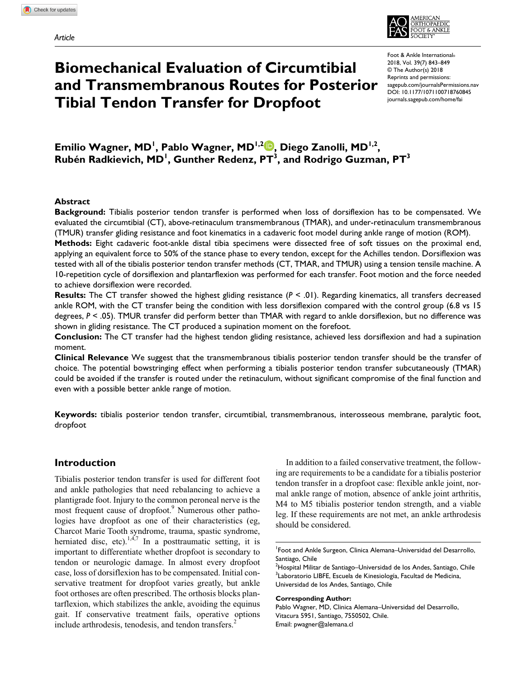

# **Biomechanical Evaluation of Circumtibial and Transmembranous Routes for Posterior Tibial Tendon Transfer for Dropfoot**

https://doi.org/10.1177/1071100718760845 DOI: 10.1177/1071100718760845 Foot & Ankle International® 2018, Vol. 39(7) 843–849 © The Author(s) 2018 Reprints and permissions: [sagepub.com/journalsPermissions.nav](https://us.sagepub.com/en-us/journals-permissions) [journals.sagepub.com/home/fai](https://journals.sagepub.com/home/fai)

Emilio Wagner, MD<sup>I</sup>, Pablo Wagner, MD<sup>I,2</sup>®, Diego Zanolli, MD<sup>I,2</sup>, Rubén Radkievich, MD<sup>I</sup>, Gunther Redenz, PT<sup>3</sup>, and Rodrigo Guzman, PT<sup>3</sup>

#### **Abstract**

**Background:** Tibialis posterior tendon transfer is performed when loss of dorsiflexion has to be compensated. We evaluated the circumtibial (CT), above-retinaculum transmembranous (TMAR), and under-retinaculum transmembranous (TMUR) transfer gliding resistance and foot kinematics in a cadaveric foot model during ankle range of motion (ROM).

**Methods:** Eight cadaveric foot-ankle distal tibia specimens were dissected free of soft tissues on the proximal end, applying an equivalent force to 50% of the stance phase to every tendon, except for the Achilles tendon. Dorsiflexion was tested with all of the tibialis posterior tendon transfer methods (CT, TMAR, and TMUR) using a tension tensile machine. A 10-repetition cycle of dorsiflexion and plantarflexion was performed for each transfer. Foot motion and the force needed to achieve dorsiflexion were recorded.

**Results:** The CT transfer showed the highest gliding resistance (*P* < .01). Regarding kinematics, all transfers decreased ankle ROM, with the CT transfer being the condition with less dorsiflexion compared with the control group (6.8 vs 15 degrees, *P* < .05). TMUR transfer did perform better than TMAR with regard to ankle dorsiflexion, but no difference was shown in gliding resistance. The CT produced a supination moment on the forefoot.

**Conclusion:** The CT transfer had the highest tendon gliding resistance, achieved less dorsiflexion and had a supination moment.

**Clinical Relevance** We suggest that the transmembranous tibialis posterior tendon transfer should be the transfer of choice. The potential bowstringing effect when performing a tibialis posterior tendon transfer subcutaneously (TMAR) could be avoided if the transfer is routed under the retinaculum, without significant compromise of the final function and even with a possible better ankle range of motion.

**Keywords:** tibialis posterior tendon transfer, circumtibial, transmembranous, interosseous membrane, paralytic foot, dropfoot

## **Introduction**

Tibialis posterior tendon transfer is used for different foot and ankle pathologies that need rebalancing to achieve a plantigrade foot. Injury to the common peroneal nerve is the most frequent cause of dropfoot.<sup>9</sup> Numerous other pathologies have dropfoot as one of their characteristics (eg, Charcot Marie Tooth syndrome, trauma, spastic syndrome, herniated disc, etc).<sup>1,4,7</sup> In a posttraumatic setting, it is important to differentiate whether dropfoot is secondary to tendon or neurologic damage. In almost every dropfoot case, loss of dorsiflexion has to be compensated. Initial conservative treatment for dropfoot varies greatly, but ankle foot orthoses are often prescribed. The orthosis blocks plantarflexion, which stabilizes the ankle, avoiding the equinus gait. If conservative treatment fails, operative options include arthrodesis, tenodesis, and tendon transfers.<sup>2</sup>

In addition to a failed conservative treatment, the following are requirements to be a candidate for a tibialis posterior tendon transfer in a dropfoot case: flexible ankle joint, normal ankle range of motion, absence of ankle joint arthritis, M4 to M5 tibialis posterior tendon strength, and a viable leg. If these requirements are not met, an ankle arthrodesis should be considered.

#### **Corresponding Author:**

Pablo Wagner, MD, Clinica Alemana–Universidad del Desarrollo, Vitacura 5951, Santiago, 7550502, Chile. Email: [pwagner@alemana.cl](mailto:pwagner@alemana.cl)

<sup>1</sup> Foot and Ankle Surgeon, Clinica Alemana–Universidad del Desarrollo, Santiago, Chile

 $^{2}$ Hospital Militar de Santiago–Universidad de los Andes, Santiago, Chile <sup>3</sup>Laboratorio LIBFE, Escuela de Kinesiología, Facultad de Medicina, Universidad de los Andes, Santiago, Chile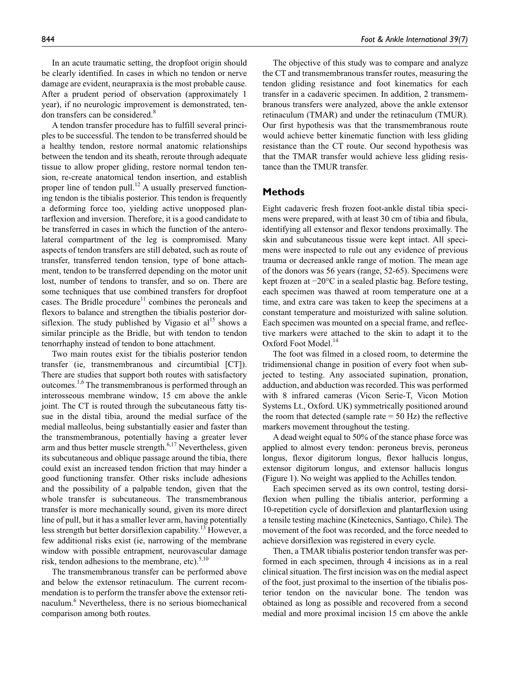In an acute traumatic setting, the dropfoot origin should be clearly identified. In cases in which no tendon or nerve damage are evident, neurapraxia is the most probable cause. After a prudent period of observation (approximately 1 year), if no neurologic improvement is demonstrated, tendon transfers can be considered.<sup>8</sup>

A tendon transfer procedure has to fulfill several principles to be successful. The tendon to be transferred should be a healthy tendon, restore normal anatomic relationships between the tendon and its sheath, reroute through adequate tissue to allow proper gliding, restore normal tendon tension, re-create anatomical tendon insertion, and establish proper line of tendon pull.<sup>12</sup> A usually preserved functioning tendon is the tibialis posterior. This tendon is frequently a deforming force too, yielding active unopposed plantarflexion and inversion. Therefore, it is a good candidate to be transferred in cases in which the function of the anterolateral compartment of the leg is compromised. Many aspects of tendon transfers are still debated, such as route of transfer, transferred tendon tension, type of bone attachment, tendon to be transferred depending on the motor unit lost, number of tendons to transfer, and so on. There are some techniques that use combined transfers for dropfoot cases. The Bridle procedure<sup>11</sup> combines the peroneals and flexors to balance and strengthen the tibialis posterior dorsiflexion. The study published by Vigasio et  $al<sup>15</sup>$  shows a similar principle as the Bridle, but with tendon to tendon tenorrhaphy instead of tendon to bone attachment.

Two main routes exist for the tibialis posterior tendon transfer (ie, transmembranous and circumtibial [CT]). There are studies that support both routes with satisfactory outcomes.<sup>1,6</sup> The transmembranous is performed through an interosseous membrane window, 15 cm above the ankle joint. The CT is routed through the subcutaneous fatty tissue in the distal tibia, around the medial surface of the medial malleolus, being substantially easier and faster than the transmembranous, potentially having a greater lever arm and thus better muscle strength. $6,17$  Nevertheless, given its subcutaneous and oblique passage around the tibia, there could exist an increased tendon friction that may hinder a good functioning transfer. Other risks include adhesions and the possibility of a palpable tendon, given that the whole transfer is subcutaneous. The transmembranous transfer is more mechanically sound, given its more direct line of pull, but it has a smaller lever arm, having potentially less strength but better dorsiflexion capability.<sup>13</sup> However, a few additional risks exist (ie, narrowing of the membrane window with possible entrapment, neurovascular damage risk, tendon adhesions to the membrane, etc). $5,10$ 

The transmembranous transfer can be performed above and below the extensor retinaculum. The current recommendation is to perform the transfer above the extensor retinaculum.<sup>6</sup> Nevertheless, there is no serious biomechanical comparison among both routes.

The objective of this study was to compare and analyze the CT and transmembranous transfer routes, measuring the tendon gliding resistance and foot kinematics for each transfer in a cadaveric specimen. In addition, 2 transmembranous transfers were analyzed, above the ankle extensor retinaculum (TMAR) and under the retinaculum (TMUR). Our first hypothesis was that the transmembranous route would achieve better kinematic function with less gliding resistance than the CT route. Our second hypothesis was that the TMAR transfer would achieve less gliding resistance than the TMUR transfer.

## **Methods**

Eight cadaveric fresh frozen foot-ankle distal tibia specimens were prepared, with at least 30 cm of tibia and fibula, identifying all extensor and flexor tendons proximally. The skin and subcutaneous tissue were kept intact. All specimens were inspected to rule out any evidence of previous trauma or decreased ankle range of motion. The mean age of the donors was 56 years (range, 52-65). Specimens were kept frozen at −20°C in a sealed plastic bag. Before testing, each specimen was thawed at room temperature one at a time, and extra care was taken to keep the specimens at a constant temperature and moisturized with saline solution. Each specimen was mounted on a special frame, and reflective markers were attached to the skin to adapt it to the Oxford Foot Model.<sup>14</sup>

The foot was filmed in a closed room, to determine the tridimensional change in position of every foot when subjected to testing. Any associated supination, pronation, adduction, and abduction was recorded. This was performed with 8 infrared cameras (Vicon Serie-T, Vicon Motion Systems Lt., Oxford. UK) symmetrically positioned around the room that detected (sample rate  $= 50$  Hz) the reflective markers movement throughout the testing.

A dead weight equal to 50% of the stance phase force was applied to almost every tendon: peroneus brevis, peroneus longus, flexor digitorum longus, flexor hallucis longus, extensor digitorum longus, and extensor hallucis longus (Figure 1). No weight was applied to the Achilles tendon.

Each specimen served as its own control, testing dorsiflexion when pulling the tibialis anterior, performing a 10-repetition cycle of dorsiflexion and plantarflexion using a tensile testing machine (Kinetecnics, Santiago, Chile). The movement of the foot was recorded, and the force needed to achieve dorsiflexion was registered in every cycle.

Then, a TMAR tibialis posterior tendon transfer was performed in each specimen, through 4 incisions as in a real clinical situation. The first incision was on the medial aspect of the foot, just proximal to the insertion of the tibialis posterior tendon on the navicular bone. The tendon was obtained as long as possible and recovered from a second medial and more proximal incision 15 cm above the ankle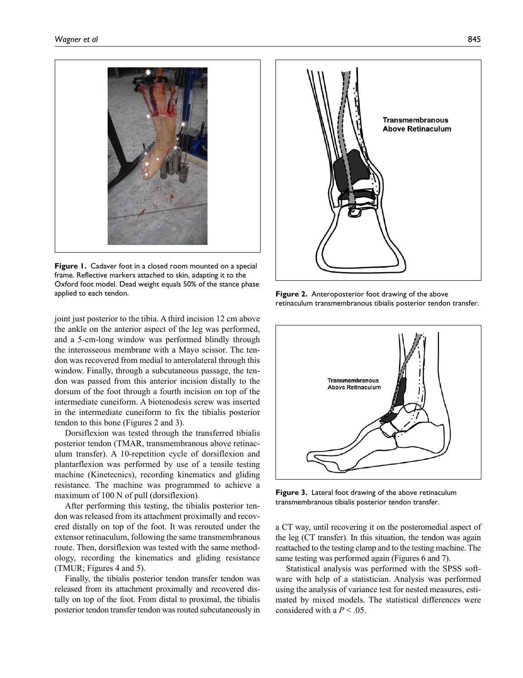

**Figure 1.** Cadaver foot in a closed room mounted on a special frame. Reflective markers attached to skin, adapting it to the Oxford foot model. Dead weight equals 50% of the stance phase applied to each tendon. **Figure 2.** Anteroposterior foot drawing of the above

joint just posterior to the tibia. A third incision 12 cm above the ankle on the anterior aspect of the leg was performed, and a 5-cm-long window was performed blindly through the interosseous membrane with a Mayo scissor. The tendon was recovered from medial to anterolateral through this window. Finally, through a subcutaneous passage, the tendon was passed from this anterior incision distally to the dorsum of the foot through a fourth incision on top of the intermediate cuneiform. A biotenodesis screw was inserted in the intermediate cuneiform to fix the tibialis posterior tendon to this bone (Figures 2 and 3).

Dorsiflexion was tested through the transferred tibialis posterior tendon (TMAR, transmembranous above retinaculum transfer). A 10-repetition cycle of dorsiflexion and plantarflexion was performed by use of a tensile testing machine (Kinetecnics), recording kinematics and gliding resistance. The machine was programmed to achieve a maximum of 100 N of pull (dorsiflexion).

After performing this testing, the tibialis posterior tendon was released from its attachment proximally and recovered distally on top of the foot. It was rerouted under the extensor retinaculum, following the same transmembranous route. Then, dorsiflexion was tested with the same methodology, recording the kinematics and gliding resistance (TMUR; Figures 4 and 5).

Finally, the tibialis posterior tendon transfer tendon was released from its attachment proximally and recovered distally on top of the foot. From distal to proximal, the tibialis posterior tendon transfer tendon was routed subcutaneously in



retinaculum transmembranous tibialis posterior tendon transfer.



**Figure 3.** Lateral foot drawing of the above retinaculum transmembranous tibialis posterior tendon transfer.

a CT way, until recovering it on the posteromedial aspect of the leg (CT transfer). In this situation, the tendon was again reattached to the testing clamp and to the testing machine. The same testing was performed again (Figures 6 and 7).

Statistical analysis was performed with the SPSS software with help of a statistician. Analysis was performed using the analysis of variance test for nested measures, estimated by mixed models. The statistical differences were considered with a  $P < .05$ .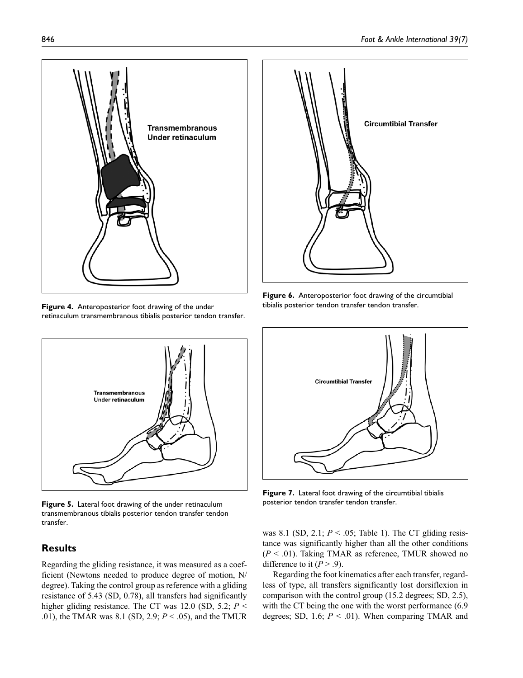

**Figure 4.** Anteroposterior foot drawing of the under retinaculum transmembranous tibialis posterior tendon transfer.



**Figure 6.** Anteroposterior foot drawing of the circumtibial tibialis posterior tendon transfer tendon transfer.



**Figure 5.** Lateral foot drawing of the under retinaculum transmembranous tibialis posterior tendon transfer tendon transfer.

# **Results**

Regarding the gliding resistance, it was measured as a coefficient (Newtons needed to produce degree of motion, N/ degree). Taking the control group as reference with a gliding resistance of 5.43 (SD, 0.78), all transfers had significantly higher gliding resistance. The CT was 12.0 (SD, 5.2; *P* < .01), the TMAR was 8.1 (SD, 2.9; *P* < .05), and the TMUR



**Figure 7.** Lateral foot drawing of the circumtibial tibialis posterior tendon transfer tendon transfer.

was 8.1 (SD, 2.1;  $P < .05$ ; Table 1). The CT gliding resistance was significantly higher than all the other conditions (*P* < .01). Taking TMAR as reference, TMUR showed no difference to it  $(P > .9)$ .

Regarding the foot kinematics after each transfer, regardless of type, all transfers significantly lost dorsiflexion in comparison with the control group (15.2 degrees; SD, 2.5), with the CT being the one with the worst performance  $(6.9)$ degrees; SD, 1.6;  $P < .01$ ). When comparing TMAR and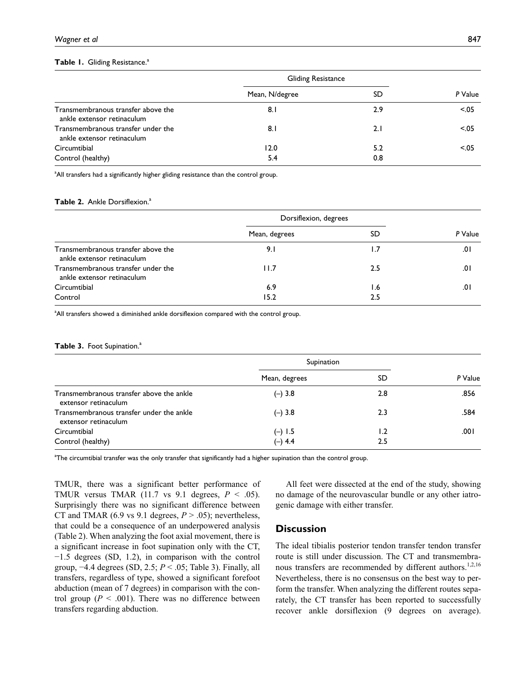#### Table 1. Gliding Resistance.<sup>a</sup>

|                                                                  | <b>Gliding Resistance</b> |     |         |
|------------------------------------------------------------------|---------------------------|-----|---------|
|                                                                  | Mean, N/degree            | SD  | P Value |
| Transmembranous transfer above the<br>ankle extensor retinaculum | 8.I                       | 2.9 | < 0.05  |
| Transmembranous transfer under the<br>ankle extensor retinaculum | 8.I                       | 2.1 | < 0.05  |
| Circumtibial                                                     | 12.0                      | 5.2 | < 0.05  |
| Control (healthy)                                                | 5.4                       | 0.8 |         |

<sup>a</sup>All transfers had a significantly higher gliding resistance than the control group.

#### **Table 2.** Ankle Dorsiflexion.<sup>a</sup>

|                                                                  | Dorsiflexion, degrees |     |         |
|------------------------------------------------------------------|-----------------------|-----|---------|
|                                                                  | Mean, degrees         | SD  | P Value |
| Transmembranous transfer above the<br>ankle extensor retinaculum | 9. I                  | l.7 | .01     |
| Transmembranous transfer under the<br>ankle extensor retinaculum | 11.7                  | 2.5 | 0١.     |
| Circumtibial                                                     | 6.9                   | I.6 | 0۱.     |
| Control                                                          | 15.2                  | 2.5 |         |

<sup>a</sup>All transfers showed a diminished ankle dorsiflexion compared with the control group.

#### **Table 3. Foot Supination.**<sup>a</sup>

|                                                                  | Supination    |     |         |
|------------------------------------------------------------------|---------------|-----|---------|
|                                                                  | Mean, degrees | SD  | P Value |
| Transmembranous transfer above the ankle<br>extensor retinaculum | $(-) 3.8$     | 2.8 | .856    |
| Transmembranous transfer under the ankle<br>extensor retinaculum | $(-) 3.8$     | 2.3 | .584    |
| Circumtibial                                                     | $(-) 1.5$     | 1.2 | 00۱.    |
| Control (healthy)                                                | $(-) 4.4$     | 2.5 |         |

a The circumtibial transfer was the only transfer that significantly had a higher supination than the control group.

TMUR, there was a significant better performance of TMUR versus TMAR (11.7 vs 9.1 degrees, *P* < .05). Surprisingly there was no significant difference between CT and TMAR (6.9 vs 9.1 degrees,  $P > .05$ ); nevertheless, that could be a consequence of an underpowered analysis (Table 2). When analyzing the foot axial movement, there is a significant increase in foot supination only with the CT, −1.5 degrees (SD, 1.2), in comparison with the control group, −4.4 degrees (SD, 2.5; *P* < .05; Table 3). Finally, all transfers, regardless of type, showed a significant forefoot abduction (mean of 7 degrees) in comparison with the control group ( $P < .001$ ). There was no difference between transfers regarding abduction.

All feet were dissected at the end of the study, showing no damage of the neurovascular bundle or any other iatrogenic damage with either transfer.

# **Discussion**

The ideal tibialis posterior tendon transfer tendon transfer route is still under discussion. The CT and transmembranous transfers are recommended by different authors.<sup>1,2,16</sup> Nevertheless, there is no consensus on the best way to perform the transfer. When analyzing the different routes separately, the CT transfer has been reported to successfully recover ankle dorsiflexion (9 degrees on average).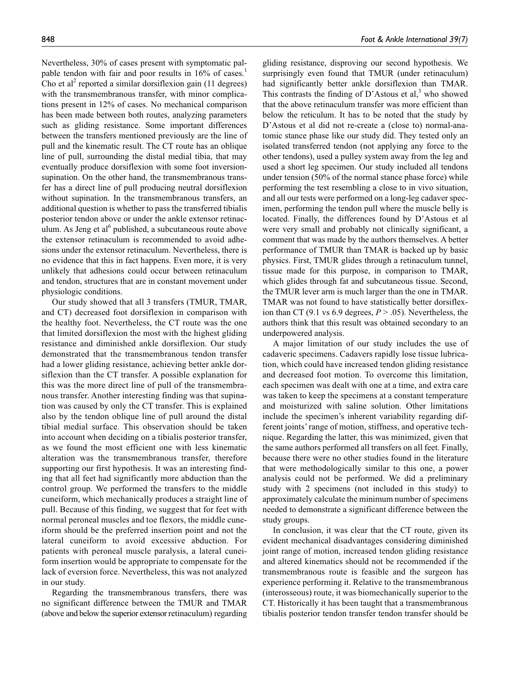Nevertheless, 30% of cases present with symptomatic palpable tendon with fair and poor results in 16% of cases.<sup>1</sup> Cho et al<sup>2</sup> reported a similar dorsiflexion gain  $(11 \text{ degrees})$ with the transmembranous transfer, with minor complications present in 12% of cases. No mechanical comparison has been made between both routes, analyzing parameters such as gliding resistance. Some important differences between the transfers mentioned previously are the line of pull and the kinematic result. The CT route has an oblique line of pull, surrounding the distal medial tibia, that may eventually produce dorsiflexion with some foot inversionsupination. On the other hand, the transmembranous transfer has a direct line of pull producing neutral dorsiflexion without supination. In the transmembranous transfers, an additional question is whether to pass the transferred tibialis posterior tendon above or under the ankle extensor retinaculum. As Jeng et al<sup>6</sup> published, a subcutaneous route above the extensor retinaculum is recommended to avoid adhesions under the extensor retinaculum. Nevertheless, there is no evidence that this in fact happens. Even more, it is very unlikely that adhesions could occur between retinaculum and tendon, structures that are in constant movement under physiologic conditions.

Our study showed that all 3 transfers (TMUR, TMAR, and CT) decreased foot dorsiflexion in comparison with the healthy foot. Nevertheless, the CT route was the one that limited dorsiflexion the most with the highest gliding resistance and diminished ankle dorsiflexion. Our study demonstrated that the transmembranous tendon transfer had a lower gliding resistance, achieving better ankle dorsiflexion than the CT transfer. A possible explanation for this was the more direct line of pull of the transmembranous transfer. Another interesting finding was that supination was caused by only the CT transfer. This is explained also by the tendon oblique line of pull around the distal tibial medial surface. This observation should be taken into account when deciding on a tibialis posterior transfer, as we found the most efficient one with less kinematic alteration was the transmembranous transfer, therefore supporting our first hypothesis. It was an interesting finding that all feet had significantly more abduction than the control group. We performed the transfers to the middle cuneiform, which mechanically produces a straight line of pull. Because of this finding, we suggest that for feet with normal peroneal muscles and toe flexors, the middle cuneiform should be the preferred insertion point and not the lateral cuneiform to avoid excessive abduction. For patients with peroneal muscle paralysis, a lateral cuneiform insertion would be appropriate to compensate for the lack of eversion force. Nevertheless, this was not analyzed in our study.

Regarding the transmembranous transfers, there was no significant difference between the TMUR and TMAR (above and below the superior extensor retinaculum) regarding gliding resistance, disproving our second hypothesis. We surprisingly even found that TMUR (under retinaculum) had significantly better ankle dorsiflexion than TMAR. This contrasts the finding of D'Astous et al, $3$  who showed that the above retinaculum transfer was more efficient than below the reticulum. It has to be noted that the study by D'Astous et al did not re-create a (close to) normal-anatomic stance phase like our study did. They tested only an isolated transferred tendon (not applying any force to the other tendons), used a pulley system away from the leg and used a short leg specimen. Our study included all tendons under tension (50% of the normal stance phase force) while performing the test resembling a close to in vivo situation, and all our tests were performed on a long-leg cadaver specimen, performing the tendon pull where the muscle belly is located. Finally, the differences found by D'Astous et al were very small and probably not clinically significant, a comment that was made by the authors themselves. A better performance of TMUR than TMAR is backed up by basic physics. First, TMUR glides through a retinaculum tunnel, tissue made for this purpose, in comparison to TMAR, which glides through fat and subcutaneous tissue. Second, the TMUR lever arm is much larger than the one in TMAR. TMAR was not found to have statistically better dorsiflexion than CT (9.1 vs 6.9 degrees, *P* > .05). Nevertheless, the authors think that this result was obtained secondary to an underpowered analysis.

A major limitation of our study includes the use of cadaveric specimens. Cadavers rapidly lose tissue lubrication, which could have increased tendon gliding resistance and decreased foot motion. To overcome this limitation, each specimen was dealt with one at a time, and extra care was taken to keep the specimens at a constant temperature and moisturized with saline solution. Other limitations include the specimen's inherent variability regarding different joints' range of motion, stiffness, and operative technique. Regarding the latter, this was minimized, given that the same authors performed all transfers on all feet. Finally, because there were no other studies found in the literature that were methodologically similar to this one, a power analysis could not be performed. We did a preliminary study with 2 specimens (not included in this study) to approximately calculate the minimum number of specimens needed to demonstrate a significant difference between the study groups.

In conclusion, it was clear that the CT route, given its evident mechanical disadvantages considering diminished joint range of motion, increased tendon gliding resistance and altered kinematics should not be recommended if the transmembranous route is feasible and the surgeon has experience performing it. Relative to the transmembranous (interosseous) route, it was biomechanically superior to the CT. Historically it has been taught that a transmembranous tibialis posterior tendon transfer tendon transfer should be